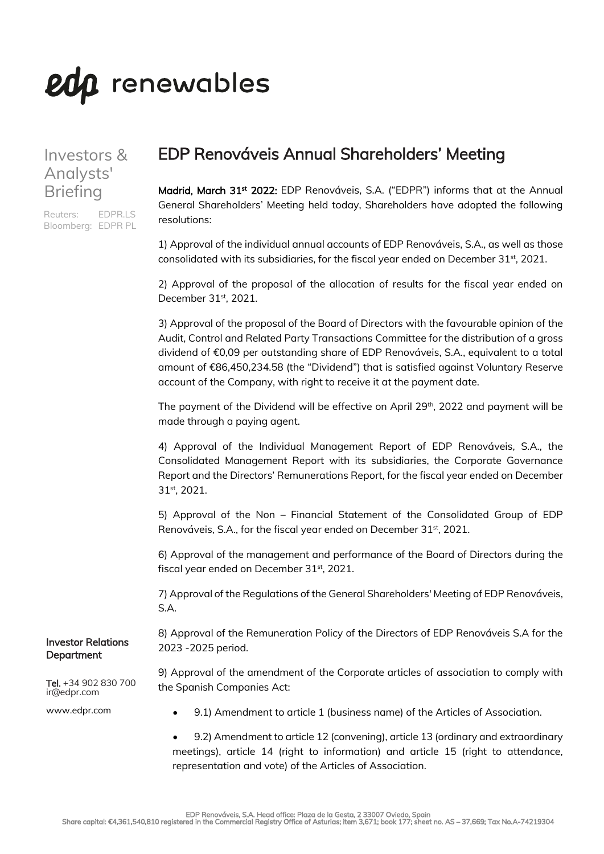# eda renewables

### Investors & Analysts' Briefing

Reuters: EDPR.LS Bloomberg: EDPR PL

## EDP Renováveis Annual Shareholders' Meeting

Madrid, March 31<sup>st</sup> 2022: EDP Renováveis, S.A. ("EDPR") informs that at the Annual General Shareholders' Meeting held today, Shareholders have adopted the following resolutions:

1) Approval of the individual annual accounts of EDP Renováveis, S.A., as well as those consolidated with its subsidiaries, for the fiscal year ended on December 31<sup>st</sup>, 2021.

2) Approval of the proposal of the allocation of results for the fiscal year ended on December 31<sup>st</sup>, 2021.

3) Approval of the proposal of the Board of Directors with the favourable opinion of the Audit, Control and Related Party Transactions Committee for the distribution of a gross dividend of €0,09 per outstanding share of EDP Renováveis, S.A., equivalent to a total amount of €86,450,234.58 (the "Dividend") that is satisfied against Voluntary Reserve account of the Company, with right to receive it at the payment date.

The payment of the Dividend will be effective on April  $29<sup>th</sup>$ , 2022 and payment will be made through a paying agent.

4) Approval of the Individual Management Report of EDP Renováveis, S.A., the Consolidated Management Report with its subsidiaries, the Corporate Governance Report and the Directors' Remunerations Report, for the fiscal year ended on December 31st, 2021.

5) Approval of the Non – Financial Statement of the Consolidated Group of EDP Renováveis, S.A., for the fiscal year ended on December 31<sup>st</sup>, 2021.

6) Approval of the management and performance of the Board of Directors during the fiscal year ended on December 31<sup>st</sup>, 2021.

7) Approval of the Regulations of the General Shareholders' Meeting of EDP Renováveis, S.A.

8) Approval of the Remuneration Policy of the Directors of EDP Renováveis S.A for the 2023 -2025 period.

9) Approval of the amendment of the Corporate articles of association to comply with the Spanish Companies Act:

www.edpr.com

ir@edpr.com

Investor Relations **Department** 

Tel. +34 902 830 700

• 9.1) Amendment to article 1 (business name) of the Articles of Association.

• 9.2) Amendment to article 12 (convening), article 13 (ordinary and extraordinary meetings), article 14 (right to information) and article 15 (right to attendance, representation and vote) of the Articles of Association.